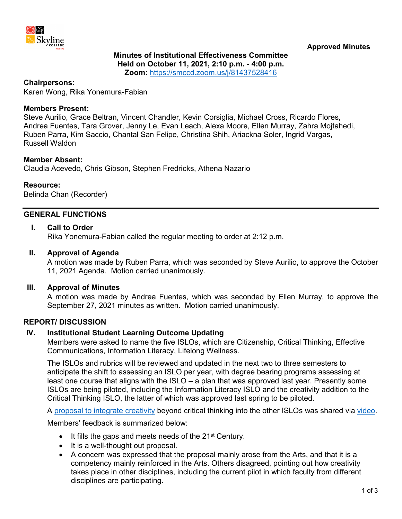

## **Minutes of Institutional Effectiveness Committee Held on October 11, 2021, 2:10 p.m. - 4:00 p.m. Zoom:** <https://smccd.zoom.us/j/81437528416>

### **Chairpersons:**

Karen Wong, Rika Yonemura-Fabian

### **Members Present:**

Steve Aurilio, Grace Beltran, Vincent Chandler, Kevin Corsiglia, Michael Cross, Ricardo Flores, Andrea Fuentes, Tara Grover, Jenny Le, Evan Leach, Alexa Moore, Ellen Murray, Zahra Mojtahedi, Ruben Parra, Kim Saccio, Chantal San Felipe, Christina Shih, Ariackna Soler, Ingrid Vargas, Russell Waldon

### **Member Absent:**

Claudia Acevedo, Chris Gibson, Stephen Fredricks, Athena Nazario

### **Resource:**

Belinda Chan (Recorder)

## **GENERAL FUNCTIONS**

## **I. Call to Order**

Rika Yonemura-Fabian called the regular meeting to order at 2:12 p.m.

### **II. Approval of Agenda**

A motion was made by Ruben Parra, which was seconded by Steve Aurilio, to approve the October 11, 2021 Agenda. Motion carried unanimously.

#### **III. Approval of Minutes**

A motion was made by Andrea Fuentes, which was seconded by Ellen Murray, to approve the September 27, 2021 minutes as written. Motion carried unanimously.

## **REPORT/ DISCUSSION**

## **IV. Institutional Student Learning Outcome Updating**

Members were asked to name the five ISLOs, which are Citizenship, Critical Thinking, Effective Communications, Information Literacy, Lifelong Wellness.

The ISLOs and rubrics will be reviewed and updated in the next two to three semesters to anticipate the shift to assessing an ISLO per year, with degree bearing programs assessing at least one course that aligns with the ISLO – a plan that was approved last year. Presently some ISLOs are being piloted, including the Information Literacy ISLO and the creativity addition to the Critical Thinking ISLO, the latter of which was approved last spring to be piloted.

A [proposal to integrate creativity](https://www.skylinecollege.edu/iec/assets/agendas/2021-2022/ISLO-Creativity-CriticalThinking.pdf) beyond critical thinking into the other ISLOs was shared via [video.](https://youtu.be/08ZU2jO7T3I)

Members' feedback is summarized below:

- It fills the gaps and meets needs of the 21<sup>st</sup> Century.
- It is a well-thought out proposal.
- A concern was expressed that the proposal mainly arose from the Arts, and that it is a competency mainly reinforced in the Arts. Others disagreed, pointing out how creativity takes place in other disciplines, including the current pilot in which faculty from different disciplines are participating.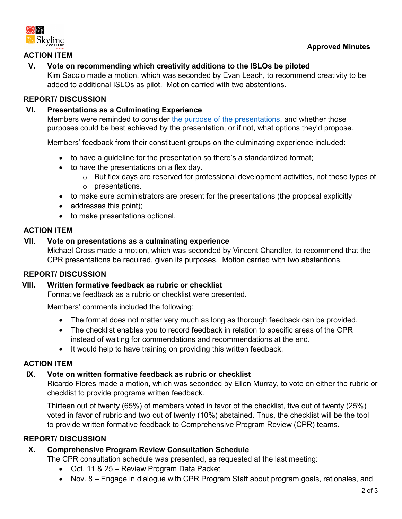

## **Approved Minutes**

# **ACTION ITEM**

# **V. Vote on recommending which creativity additions to the ISLOs be piloted**

Kim Saccio made a motion, which was seconded by Evan Leach, to recommend creativity to be added to additional ISLOs as pilot. Motion carried with two abstentions.

# **REPORT/ DISCUSSION**

# **VI. Presentations as a Culminating Experience**

Members were reminded to consider [the purpose of the presentations,](https://www.skylinecollege.edu/iec/assets/agendas/2021-2022/CPRPresentations-FormativeFeedback.pdf) and whether those purposes could be best achieved by the presentation, or if not, what options they'd propose.

Members' feedback from their constituent groups on the culminating experience included:

- to have a guideline for the presentation so there's a standardized format;
- to have the presentations on a flex day.
	- o But flex days are reserved for professional development activities, not these types of o presentations.
- to make sure administrators are present for the presentations (the proposal explicitly
- addresses this point);
- to make presentations optional.

## **ACTION ITEM**

## **VII. Vote on presentations as a culminating experience**

Michael Cross made a motion, which was seconded by Vincent Chandler, to recommend that the CPR presentations be required, given its purposes. Motion carried with two abstentions.

# **REPORT/ DISCUSSION**

## **VIII. Written formative feedback as rubric or checklist**

Formative feedback as a rubric or checklist were presented.

Members' comments included the following:

- The format does not matter very much as long as thorough feedback can be provided.
- The checklist enables you to record feedback in relation to specific areas of the CPR instead of waiting for commendations and recommendations at the end.
- It would help to have training on providing this written feedback.

## **ACTION ITEM**

# **IX. Vote on written formative feedback as rubric or checklist**

Ricardo Flores made a motion, which was seconded by Ellen Murray, to vote on either the rubric or checklist to provide programs written feedback.

Thirteen out of twenty (65%) of members voted in favor of the checklist, five out of twenty (25%) voted in favor of rubric and two out of twenty (10%) abstained. Thus, the checklist will be the tool to provide written formative feedback to Comprehensive Program Review (CPR) teams.

# **REPORT/ DISCUSSION**

# **X. Comprehensive Program Review Consultation Schedule**

The CPR consultation schedule was presented, as requested at the last meeting:

- Oct. 11 & 25 Review Program Data Packet
- Nov. 8 Engage in dialogue with CPR Program Staff about program goals, rationales, and